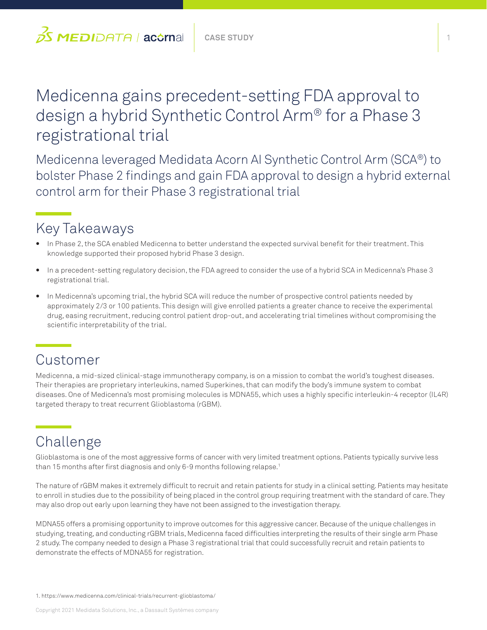# Medicenna gains precedent-setting FDA approval to design a hybrid Synthetic Control Arm® for a Phase 3 registrational trial

Medicenna leveraged Medidata Acorn AI Synthetic Control Arm (SCA®) to bolster Phase 2 findings and gain FDA approval to design a hybrid external control arm for their Phase 3 registrational trial

## Key Takeaways

- In Phase 2, the SCA enabled Medicenna to better understand the expected survival benefit for their treatment. This knowledge supported their proposed hybrid Phase 3 design.
- In a precedent-setting regulatory decision, the FDA agreed to consider the use of a hybrid SCA in Medicenna's Phase 3 registrational trial.
- In Medicenna's upcoming trial, the hybrid SCA will reduce the number of prospective control patients needed by approximately 2/3 or 100 patients. This design will give enrolled patients a greater chance to receive the experimental drug, easing recruitment, reducing control patient drop-out, and accelerating trial timelines without compromising the scientific interpretability of the trial.

#### Customer

Medicenna, a mid-sized clinical-stage immunotherapy company, is on a mission to combat the world's toughest diseases. Their therapies are proprietary interleukins, named Superkines, that can modify the body's immune system to combat diseases. One of Medicenna's most promising molecules is MDNA55, which uses a highly specific interleukin-4 receptor (IL4R) targeted therapy to treat recurrent Glioblastoma (rGBM).

## Challenge

Glioblastoma is one of the most aggressive forms of cancer with very limited treatment options. Patients typically survive less than 15 months after first diagnosis and only 6-9 months following relapse.<sup>1</sup>

The nature of rGBM makes it extremely difficult to recruit and retain patients for study in a clinical setting. Patients may hesitate to enroll in studies due to the possibility of being placed in the control group requiring treatment with the standard of care. They may also drop out early upon learning they have not been assigned to the investigation therapy.

MDNA55 offers a promising opportunity to improve outcomes for this aggressive cancer. Because of the unique challenges in studying, treating, and conducting rGBM trials, Medicenna faced difficulties interpreting the results of their single arm Phase 2 study. The company needed to design a Phase 3 registrational trial that could successfully recruit and retain patients to demonstrate the effects of MDNA55 for registration.